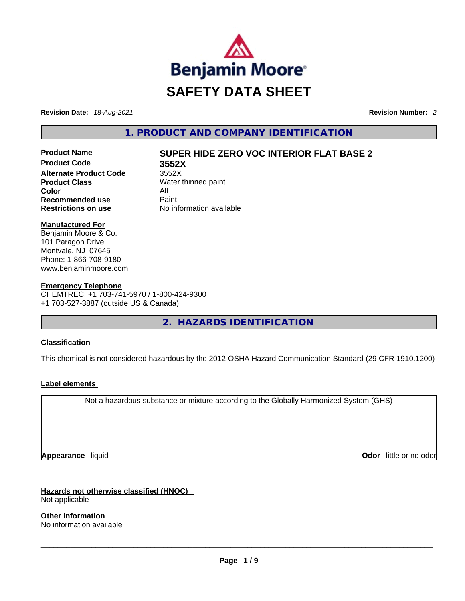

**Revision Date:** *18-Aug-2021* **Revision Number:** *2*

**1. PRODUCT AND COMPANY IDENTIFICATION** 

**Product Code 3552X Alternate Product Code** 3552X **Product Class** Water thinned paint **Color** All **Recommended use Paint Restrictions on use** No information available

## **Product Name SUPER HIDE ZERO VOC INTERIOR FLAT BASE 2**

#### **Manufactured For**

Benjamin Moore & Co. 101 Paragon Drive Montvale, NJ 07645 Phone: 1-866-708-9180 www.benjaminmoore.com

#### **Emergency Telephone**

CHEMTREC: +1 703-741-5970 / 1-800-424-9300 +1 703-527-3887 (outside US & Canada)

**2. HAZARDS IDENTIFICATION** 

#### **Classification**

This chemical is not considered hazardous by the 2012 OSHA Hazard Communication Standard (29 CFR 1910.1200)

#### **Label elements**

Not a hazardous substance or mixture according to the Globally Harmonized System (GHS)

**Appearance** liquid **Odor**  liquid **Odor Constanting Constanting Constanting Constanting Constanting Constanting Constanting Constanting Constanting Constanting Constanting Constanting Constanting Constanting Constanting** 

**Hazards not otherwise classified (HNOC)** 

Not applicable

**Other information**  No information available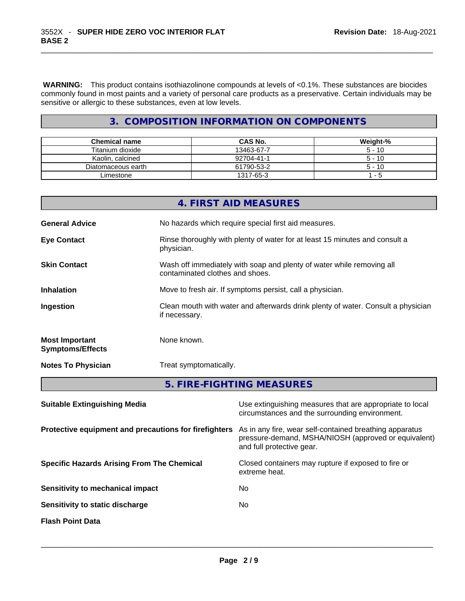**WARNING:** This product contains isothiazolinone compounds at levels of <0.1%. These substances are biocides commonly found in most paints and a variety of personal care products as a preservative. Certain individuals may be sensitive or allergic to these substances, even at low levels.

## **3. COMPOSITION INFORMATION ON COMPONENTS**

| <b>Chemical name</b> | CAS No.    | Weight-% |
|----------------------|------------|----------|
| Titanium dioxide     | 13463-67-7 | $5 - 10$ |
| Kaolin, calcined     | 92704-41-1 | $5 - 10$ |
| Diatomaceous earth   | 61790-53-2 | $5 - 10$ |
| Limestone            | 1317-65-3  | - 5      |

|                                                  | 4. FIRST AID MEASURES                                                                                    |
|--------------------------------------------------|----------------------------------------------------------------------------------------------------------|
| <b>General Advice</b>                            | No hazards which require special first aid measures.                                                     |
| <b>Eye Contact</b>                               | Rinse thoroughly with plenty of water for at least 15 minutes and consult a<br>physician.                |
| <b>Skin Contact</b>                              | Wash off immediately with soap and plenty of water while removing all<br>contaminated clothes and shoes. |
| <b>Inhalation</b>                                | Move to fresh air. If symptoms persist, call a physician.                                                |
| Ingestion                                        | Clean mouth with water and afterwards drink plenty of water. Consult a physician<br>if necessary.        |
| <b>Most Important</b><br><b>Symptoms/Effects</b> | None known.                                                                                              |
| <b>Notes To Physician</b>                        | Treat symptomatically.                                                                                   |
|                                                  | 5. FIRE-FIGHTING MEASURES                                                                                |

| <b>Suitable Extinguishing Media</b>                   | Use extinguishing measures that are appropriate to local<br>circumstances and the surrounding environment.                                   |
|-------------------------------------------------------|----------------------------------------------------------------------------------------------------------------------------------------------|
| Protective equipment and precautions for firefighters | As in any fire, wear self-contained breathing apparatus<br>pressure-demand, MSHA/NIOSH (approved or equivalent)<br>and full protective gear. |
| <b>Specific Hazards Arising From The Chemical</b>     | Closed containers may rupture if exposed to fire or<br>extreme heat.                                                                         |
| Sensitivity to mechanical impact                      | No.                                                                                                                                          |
| Sensitivity to static discharge                       | No.                                                                                                                                          |
| <b>Flash Point Data</b>                               |                                                                                                                                              |
|                                                       |                                                                                                                                              |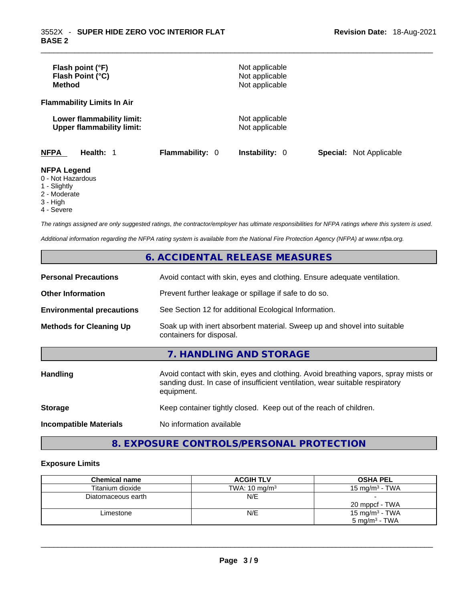| Flash point (°F)<br>Flash Point (°C)<br><b>Method</b>         |                        | Not applicable<br>Not applicable<br>Not applicable |                                |
|---------------------------------------------------------------|------------------------|----------------------------------------------------|--------------------------------|
| <b>Flammability Limits In Air</b>                             |                        |                                                    |                                |
| Lower flammability limit:<br><b>Upper flammability limit:</b> |                        | Not applicable<br>Not applicable                   |                                |
| <b>NFPA</b><br>Health: 1                                      | <b>Flammability: 0</b> | <b>Instability: 0</b>                              | <b>Special:</b> Not Applicable |
| <b>NFPA Legend</b><br>0 - Not Hazardous<br>1 - Slightly       |                        |                                                    |                                |

- 2 Moderate
- 3 High
- 4 Severe

*The ratings assigned are only suggested ratings, the contractor/employer has ultimate responsibilities for NFPA ratings where this system is used.* 

*Additional information regarding the NFPA rating system is available from the National Fire Protection Agency (NFPA) at www.nfpa.org.* 

## **6. ACCIDENTAL RELEASE MEASURES**

| <b>Personal Precautions</b>      | Avoid contact with skin, eyes and clothing. Ensure adequate ventilation.                                                                                                         |
|----------------------------------|----------------------------------------------------------------------------------------------------------------------------------------------------------------------------------|
| <b>Other Information</b>         | Prevent further leakage or spillage if safe to do so.                                                                                                                            |
| <b>Environmental precautions</b> | See Section 12 for additional Ecological Information.                                                                                                                            |
| <b>Methods for Cleaning Up</b>   | Soak up with inert absorbent material. Sweep up and shovel into suitable<br>containers for disposal.                                                                             |
|                                  | 7. HANDLING AND STORAGE                                                                                                                                                          |
| Handling                         | Avoid contact with skin, eyes and clothing. Avoid breathing vapors, spray mists or<br>sanding dust. In case of insufficient ventilation, wear suitable respiratory<br>equipment. |
| <b>Storage</b>                   | Keep container tightly closed. Keep out of the reach of children.                                                                                                                |
| <b>Incompatible Materials</b>    | No information available                                                                                                                                                         |

**8. EXPOSURE CONTROLS/PERSONAL PROTECTION** 

### **Exposure Limits**

| <b>Chemical name</b> | <b>ACGIH TLV</b>         | <b>OSHA PEL</b>            |
|----------------------|--------------------------|----------------------------|
| Titanium dioxide     | TWA: $10 \text{ mg/m}^3$ | 15 mg/m $3$ - TWA          |
| Diatomaceous earth   | N/E                      |                            |
|                      |                          | 20 mppcf - TWA             |
| Limestone            | N/E                      | 15 mg/m <sup>3</sup> - TWA |
|                      |                          | $5 \text{ ma/m}^3$ - TWA   |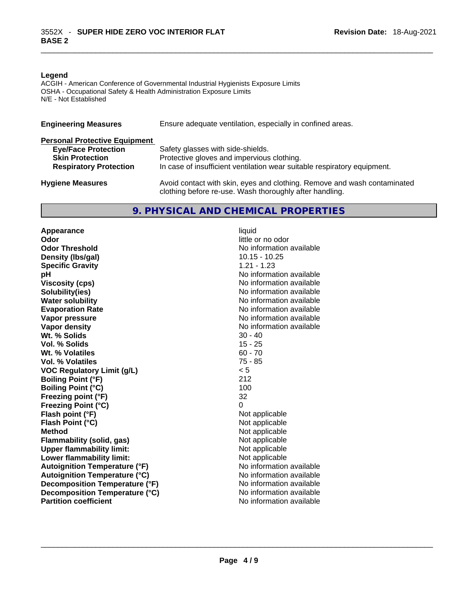#### **Legend**

ACGIH - American Conference of Governmental Industrial Hygienists Exposure Limits OSHA - Occupational Safety & Health Administration Exposure Limits N/E - Not Established

| <b>Engineering Measures</b>          | Ensure adequate ventilation, especially in confined areas.                                                                          |
|--------------------------------------|-------------------------------------------------------------------------------------------------------------------------------------|
| <b>Personal Protective Equipment</b> |                                                                                                                                     |
| <b>Eye/Face Protection</b>           | Safety glasses with side-shields.                                                                                                   |
| <b>Skin Protection</b>               | Protective gloves and impervious clothing.                                                                                          |
| <b>Respiratory Protection</b>        | In case of insufficient ventilation wear suitable respiratory equipment.                                                            |
| <b>Hygiene Measures</b>              | Avoid contact with skin, eyes and clothing. Remove and wash contaminated<br>clothing before re-use. Wash thoroughly after handling. |

## **9. PHYSICAL AND CHEMICAL PROPERTIES**

**Appearance** liquid **Odor Odor Odor Odor Odor** *Codor* **<b>Codor Odor Odor Odor Odor Odor Odor Odor Odor Odor Odor Odor Odor Odor Odor Odor Odor Odor Odor Odor Odor Odor Odor Odor Odor Odo Density (lbs/gal)** 10.15 - 10.25 **Specific Gravity** 1.21 - 1.23 **pH bH** *pH* **Viscosity (cps) Viscosity (cps) No information available Solubility(ies)**<br> **Solubility**<br> **Water solubility**<br> **Water solubility Evaporation Rate No information available No information available Vapor pressure**  No information available **Vapor pressure No information available Vapor density No information available No information available Wt. % Solids** 30 - 40 **Vol. % Solids Wt. % Volatiles** 60 - 70 **Vol. % Volatiles** 75 - 85 **VOC Regulatory Limit (g/L)** < 5 **Boiling Point (°F)** 212 **Boiling Point (°C) Freezing point (°F)** 32 **Freezing Point (°C)** 0 **Flash point (°F)** Not applicable **Flash Point (°C)** Not applicable **Method Not applicable**<br> **Plammability (solid, gas)** Not applicable **Not applicable Flammability** (solid, gas) **Upper flammability limit:** Not applicable **Lower flammability limit:** Not applicable **Autoignition Temperature (°F)** No information available **Autoignition Temperature (°C)**<br> **Decomposition Temperature (°F)** No information available **Decomposition Temperature (°F) Decomposition Temperature (°C)** No information available **Partition coefficient**No information available \_\_\_\_\_\_\_\_\_\_\_\_\_\_\_\_\_\_\_\_\_\_\_\_\_\_\_\_\_\_\_\_\_\_\_\_\_\_\_\_\_\_\_\_\_\_\_\_\_\_\_\_\_\_\_\_\_\_\_\_\_\_\_\_\_\_\_\_\_\_\_\_\_\_\_\_\_\_\_\_\_\_\_\_\_\_\_\_\_\_\_\_\_

**No information available No information available**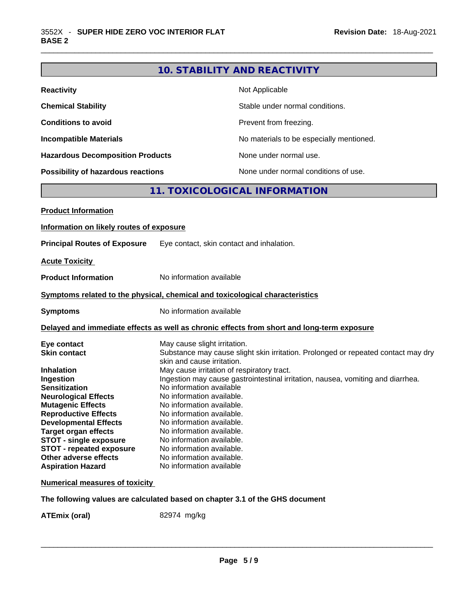## **10. STABILITY AND REACTIVITY**

| <b>Reactivity</b>                       | Not Applicable                           |
|-----------------------------------------|------------------------------------------|
| <b>Chemical Stability</b>               | Stable under normal conditions.          |
| <b>Conditions to avoid</b>              | Prevent from freezing.                   |
| <b>Incompatible Materials</b>           | No materials to be especially mentioned. |
| <b>Hazardous Decomposition Products</b> | None under normal use.                   |
| Possibility of hazardous reactions      | None under normal conditions of use.     |

## **11. TOXICOLOGICAL INFORMATION**

| <b>Product Information</b>               |                                                                                                                 |
|------------------------------------------|-----------------------------------------------------------------------------------------------------------------|
| Information on likely routes of exposure |                                                                                                                 |
| <b>Principal Routes of Exposure</b>      | Eye contact, skin contact and inhalation.                                                                       |
| <b>Acute Toxicity</b>                    |                                                                                                                 |
| <b>Product Information</b>               | No information available                                                                                        |
|                                          | Symptoms related to the physical, chemical and toxicological characteristics                                    |
| <b>Symptoms</b>                          | No information available                                                                                        |
|                                          | Delayed and immediate effects as well as chronic effects from short and long-term exposure                      |
| Eye contact                              | May cause slight irritation.                                                                                    |
| <b>Skin contact</b>                      | Substance may cause slight skin irritation. Prolonged or repeated contact may dry<br>skin and cause irritation. |
| <b>Inhalation</b>                        | May cause irritation of respiratory tract.                                                                      |
| Ingestion                                | Ingestion may cause gastrointestinal irritation, nausea, vomiting and diarrhea.                                 |
| <b>Sensitization</b>                     | No information available                                                                                        |
| <b>Neurological Effects</b>              | No information available.                                                                                       |
| <b>Mutagenic Effects</b>                 | No information available.                                                                                       |
| <b>Reproductive Effects</b>              | No information available.                                                                                       |
| <b>Developmental Effects</b>             | No information available.                                                                                       |
| <b>Target organ effects</b>              | No information available.                                                                                       |
| <b>STOT - single exposure</b>            | No information available.                                                                                       |
| <b>STOT - repeated exposure</b>          | No information available.                                                                                       |
| Other adverse effects                    | No information available.                                                                                       |
| <b>Aspiration Hazard</b>                 | No information available                                                                                        |
| <b>Numerical measures of toxicity</b>    |                                                                                                                 |

**The following values are calculated based on chapter 3.1 of the GHS document**

**ATEmix (oral)** 82974 mg/kg \_\_\_\_\_\_\_\_\_\_\_\_\_\_\_\_\_\_\_\_\_\_\_\_\_\_\_\_\_\_\_\_\_\_\_\_\_\_\_\_\_\_\_\_\_\_\_\_\_\_\_\_\_\_\_\_\_\_\_\_\_\_\_\_\_\_\_\_\_\_\_\_\_\_\_\_\_\_\_\_\_\_\_\_\_\_\_\_\_\_\_\_\_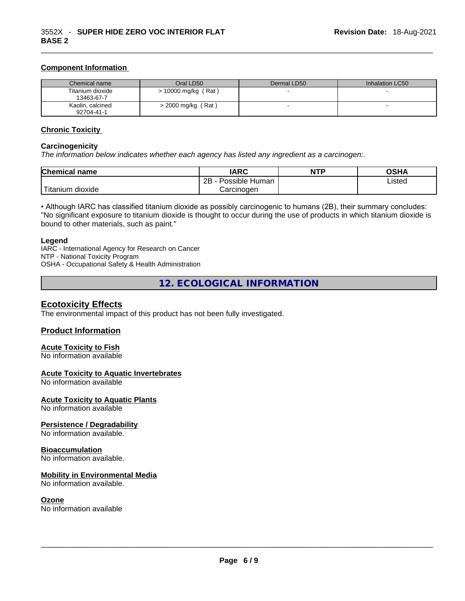#### **Component Information**

| Chemical name                  | Oral LD50            | Dermal LD50 | Inhalation LC50 |
|--------------------------------|----------------------|-------------|-----------------|
| Titanium dioxide<br>13463-67-7 | > 10000 mg/kg (Rat)  |             |                 |
| Kaolin, calcined<br>92704-41-1 | $>$ 2000 mg/kg (Rat) |             |                 |

#### **Chronic Toxicity**

#### **Carcinogenicity**

*The information below indicates whether each agency has listed any ingredient as a carcinogen:.* 

| <b>Chemical name</b>  | IARC                 | <b>NTP</b> | OSHA   |
|-----------------------|----------------------|------------|--------|
|                       | Possible Human<br>2Β |            | Listed |
| Titanium 、<br>dioxide | Carcinoɑen           |            |        |

• Although IARC has classified titanium dioxide as possibly carcinogenic to humans (2B), their summary concludes: "No significant exposure to titanium dioxide is thought to occur during the use of products in which titanium dioxide is bound to other materials, such as paint."

#### **Legend**

IARC - International Agency for Research on Cancer NTP - National Toxicity Program OSHA - Occupational Safety & Health Administration

**12. ECOLOGICAL INFORMATION** 

#### **Ecotoxicity Effects**

The environmental impact of this product has not been fully investigated.

#### **Product Information**

#### **Acute Toxicity to Fish** No information available

## **Acute Toxicity to Aquatic Invertebrates**

No information available

#### **Acute Toxicity to Aquatic Plants**

No information available

#### **Persistence / Degradability**

No information available.

#### **Bioaccumulation**

No information available.

#### **Mobility in Environmental Media**

No information available.

**Ozone**<br>No information available No information available \_\_\_\_\_\_\_\_\_\_\_\_\_\_\_\_\_\_\_\_\_\_\_\_\_\_\_\_\_\_\_\_\_\_\_\_\_\_\_\_\_\_\_\_\_\_\_\_\_\_\_\_\_\_\_\_\_\_\_\_\_\_\_\_\_\_\_\_\_\_\_\_\_\_\_\_\_\_\_\_\_\_\_\_\_\_\_\_\_\_\_\_\_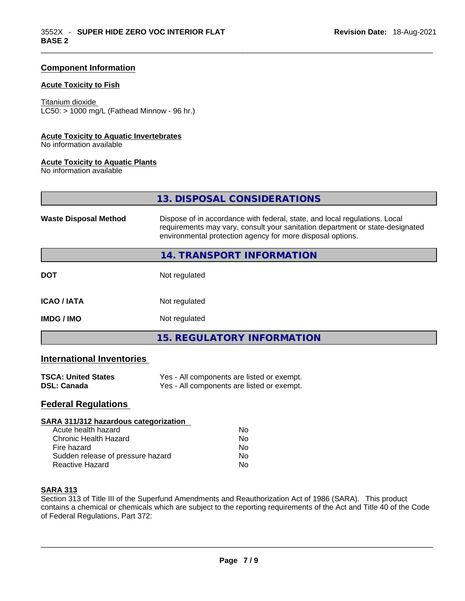### **Component Information**

#### **Acute Toxicity to Fish**

Titanium dioxide  $LC50:$  > 1000 mg/L (Fathead Minnow - 96 hr.)

#### **Acute Toxicity to Aquatic Invertebrates**

No information available

#### **Acute Toxicity to Aquatic Plants**

No information available

|                              | 13. DISPOSAL CONSIDERATIONS                                                                                                                                                                                               |
|------------------------------|---------------------------------------------------------------------------------------------------------------------------------------------------------------------------------------------------------------------------|
| <b>Waste Disposal Method</b> | Dispose of in accordance with federal, state, and local regulations. Local<br>requirements may vary, consult your sanitation department or state-designated<br>environmental protection agency for more disposal options. |
|                              | 14. TRANSPORT INFORMATION                                                                                                                                                                                                 |
| <b>DOT</b>                   | Not regulated                                                                                                                                                                                                             |
| <b>ICAO/IATA</b>             | Not regulated                                                                                                                                                                                                             |
| <b>IMDG / IMO</b>            | Not regulated                                                                                                                                                                                                             |
|                              | <b>15. REGULATORY INFORMATION</b>                                                                                                                                                                                         |

## **International Inventories**

| <b>TSCA: United States</b> | Yes - All components are listed or exempt. |
|----------------------------|--------------------------------------------|
| <b>DSL: Canada</b>         | Yes - All components are listed or exempt. |

## **Federal Regulations**

| SARA 311/312 hazardous categorization |                |  |
|---------------------------------------|----------------|--|
| Acute health hazard                   | Nο             |  |
| Chronic Health Hazard                 | No             |  |
| Fire hazard                           | N <sub>0</sub> |  |
| Sudden release of pressure hazard     | No             |  |
| Reactive Hazard                       | No             |  |

#### **SARA 313**

Section 313 of Title III of the Superfund Amendments and Reauthorization Act of 1986 (SARA). This product contains a chemical or chemicals which are subject to the reporting requirements of the Act and Title 40 of the Code of Federal Regulations, Part 372: \_\_\_\_\_\_\_\_\_\_\_\_\_\_\_\_\_\_\_\_\_\_\_\_\_\_\_\_\_\_\_\_\_\_\_\_\_\_\_\_\_\_\_\_\_\_\_\_\_\_\_\_\_\_\_\_\_\_\_\_\_\_\_\_\_\_\_\_\_\_\_\_\_\_\_\_\_\_\_\_\_\_\_\_\_\_\_\_\_\_\_\_\_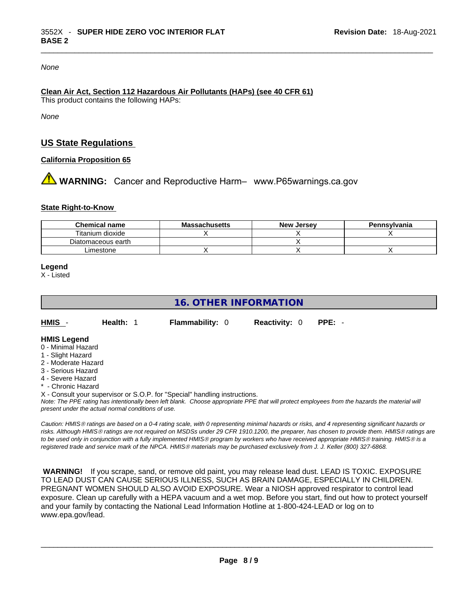#### *None*

## **Clean Air Act,Section 112 Hazardous Air Pollutants (HAPs) (see 40 CFR 61)**

This product contains the following HAPs:

*None*

## **US State Regulations**

#### **California Proposition 65**

# **WARNING:** Cancer and Reproductive Harm– www.P65warnings.ca.gov

#### **State Right-to-Know**

| <b>Chemical name</b> | <b>Massachusetts</b> | <b>New Jersey</b> | Pennsvlvania |
|----------------------|----------------------|-------------------|--------------|
| Titanium dioxide     |                      |                   |              |
| Diatomaceous earth   |                      |                   |              |
| Limestone            |                      |                   |              |

**Legend**

X - Listed

## **16. OTHER INFORMATION**

**HMIS** - **Health:** 1 **Flammability:** 0 **Reactivity:** 0 **PPE:** -

#### **HMIS Legend**

- 0 Minimal Hazard
- 1 Slight Hazard
- 2 Moderate Hazard
- 3 Serious Hazard
- 4 Severe Hazard
- \* Chronic Hazard
- X Consult your supervisor or S.O.P. for "Special" handling instructions.

Note: The PPE rating has intentionally been left blank. Choose appropriate PPE that will protect employees from the hazards the material will *present under the actual normal conditions of use.* 

*Caution: HMISÒ ratings are based on a 0-4 rating scale, with 0 representing minimal hazards or risks, and 4 representing significant hazards or risks. Although HMISÒ ratings are not required on MSDSs under 29 CFR 1910.1200, the preparer, has chosen to provide them. HMISÒ ratings are to be used only in conjunction with a fully implemented HMISÒ program by workers who have received appropriate HMISÒ training. HMISÒ is a registered trade and service mark of the NPCA. HMISÒ materials may be purchased exclusively from J. J. Keller (800) 327-6868.* 

 **WARNING!** If you scrape, sand, or remove old paint, you may release lead dust. LEAD IS TOXIC. EXPOSURE TO LEAD DUST CAN CAUSE SERIOUS ILLNESS, SUCH AS BRAIN DAMAGE, ESPECIALLY IN CHILDREN. PREGNANT WOMEN SHOULD ALSO AVOID EXPOSURE.Wear a NIOSH approved respirator to control lead exposure. Clean up carefully with a HEPA vacuum and a wet mop. Before you start, find out how to protect yourself and your family by contacting the National Lead Information Hotline at 1-800-424-LEAD or log on to www.epa.gov/lead.